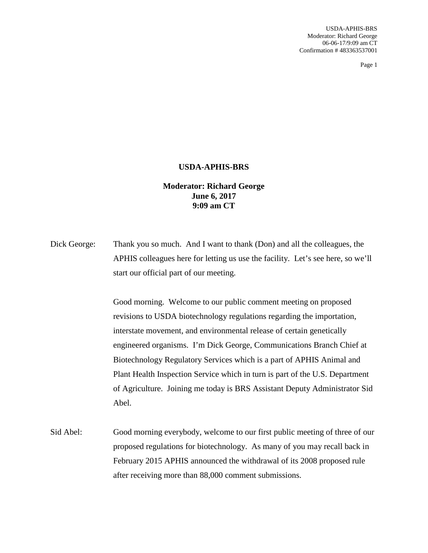## **USDA-APHIS-BRS**

**Moderator: Richard George June 6, 2017 9:09 am CT**

Dick George: Thank you so much. And I want to thank (Don) and all the colleagues, the APHIS colleagues here for letting us use the facility. Let's see here, so we'll start our official part of our meeting.

> Good morning. Welcome to our public comment meeting on proposed revisions to USDA biotechnology regulations regarding the importation, interstate movement, and environmental release of certain genetically engineered organisms. I'm Dick George, Communications Branch Chief at Biotechnology Regulatory Services which is a part of APHIS Animal and Plant Health Inspection Service which in turn is part of the U.S. Department of Agriculture. Joining me today is BRS Assistant Deputy Administrator Sid Abel.

Sid Abel: Good morning everybody, welcome to our first public meeting of three of our proposed regulations for biotechnology. As many of you may recall back in February 2015 APHIS announced the withdrawal of its 2008 proposed rule after receiving more than 88,000 comment submissions.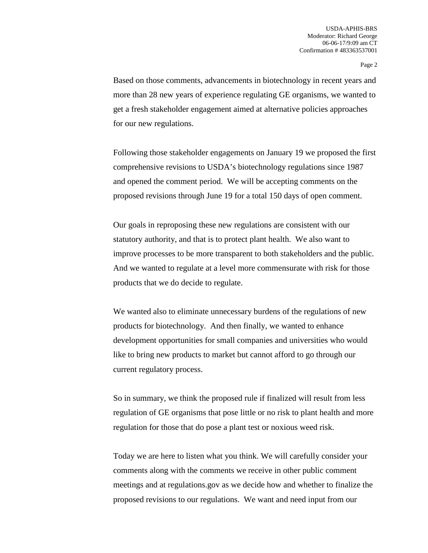Based on those comments, advancements in biotechnology in recent years and more than 28 new years of experience regulating GE organisms, we wanted to get a fresh stakeholder engagement aimed at alternative policies approaches for our new regulations.

Following those stakeholder engagements on January 19 we proposed the first comprehensive revisions to USDA's biotechnology regulations since 1987 and opened the comment period. We will be accepting comments on the proposed revisions through June 19 for a total 150 days of open comment.

Our goals in reproposing these new regulations are consistent with our statutory authority, and that is to protect plant health. We also want to improve processes to be more transparent to both stakeholders and the public. And we wanted to regulate at a level more commensurate with risk for those products that we do decide to regulate.

We wanted also to eliminate unnecessary burdens of the regulations of new products for biotechnology. And then finally, we wanted to enhance development opportunities for small companies and universities who would like to bring new products to market but cannot afford to go through our current regulatory process.

So in summary, we think the proposed rule if finalized will result from less regulation of GE organisms that pose little or no risk to plant health and more regulation for those that do pose a plant test or noxious weed risk.

Today we are here to listen what you think. We will carefully consider your comments along with the comments we receive in other public comment meetings and at regulations.gov as we decide how and whether to finalize the proposed revisions to our regulations. We want and need input from our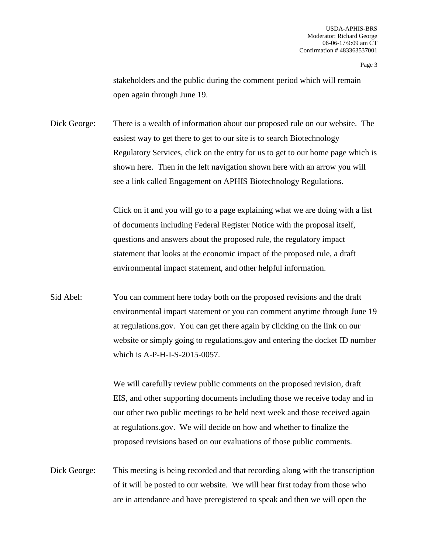stakeholders and the public during the comment period which will remain open again through June 19.

Dick George: There is a wealth of information about our proposed rule on our website. The easiest way to get there to get to our site is to search Biotechnology Regulatory Services, click on the entry for us to get to our home page which is shown here. Then in the left navigation shown here with an arrow you will see a link called Engagement on APHIS Biotechnology Regulations.

> Click on it and you will go to a page explaining what we are doing with a list of documents including Federal Register Notice with the proposal itself, questions and answers about the proposed rule, the regulatory impact statement that looks at the economic impact of the proposed rule, a draft environmental impact statement, and other helpful information.

Sid Abel: You can comment here today both on the proposed revisions and the draft environmental impact statement or you can comment anytime through June 19 at regulations.gov. You can get there again by clicking on the link on our website or simply going to regulations.gov and entering the docket ID number which is A-P-H-I-S-2015-0057.

> We will carefully review public comments on the proposed revision, draft EIS, and other supporting documents including those we receive today and in our other two public meetings to be held next week and those received again at regulations.gov. We will decide on how and whether to finalize the proposed revisions based on our evaluations of those public comments.

Dick George: This meeting is being recorded and that recording along with the transcription of it will be posted to our website. We will hear first today from those who are in attendance and have preregistered to speak and then we will open the

Page 3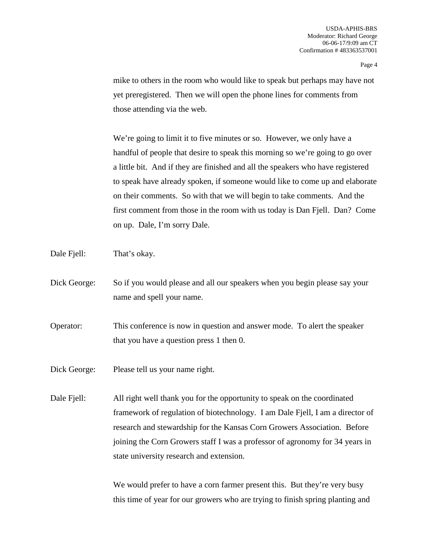mike to others in the room who would like to speak but perhaps may have not yet preregistered. Then we will open the phone lines for comments from those attending via the web.

We're going to limit it to five minutes or so. However, we only have a handful of people that desire to speak this morning so we're going to go over a little bit. And if they are finished and all the speakers who have registered to speak have already spoken, if someone would like to come up and elaborate on their comments. So with that we will begin to take comments. And the first comment from those in the room with us today is Dan Fjell. Dan? Come on up. Dale, I'm sorry Dale.

Dale Fiell: That's okay.

- Dick George: So if you would please and all our speakers when you begin please say your name and spell your name.
- Operator: This conference is now in question and answer mode. To alert the speaker that you have a question press 1 then 0.

Dick George: Please tell us your name right.

Dale Fjell: All right well thank you for the opportunity to speak on the coordinated framework of regulation of biotechnology. I am Dale Fjell, I am a director of research and stewardship for the Kansas Corn Growers Association. Before joining the Corn Growers staff I was a professor of agronomy for 34 years in state university research and extension.

> We would prefer to have a corn farmer present this. But they're very busy this time of year for our growers who are trying to finish spring planting and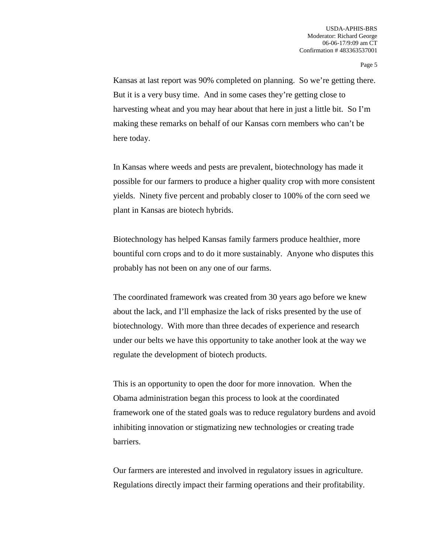Kansas at last report was 90% completed on planning. So we're getting there. But it is a very busy time. And in some cases they're getting close to harvesting wheat and you may hear about that here in just a little bit. So I'm making these remarks on behalf of our Kansas corn members who can't be here today.

In Kansas where weeds and pests are prevalent, biotechnology has made it possible for our farmers to produce a higher quality crop with more consistent yields. Ninety five percent and probably closer to 100% of the corn seed we plant in Kansas are biotech hybrids.

Biotechnology has helped Kansas family farmers produce healthier, more bountiful corn crops and to do it more sustainably. Anyone who disputes this probably has not been on any one of our farms.

The coordinated framework was created from 30 years ago before we knew about the lack, and I'll emphasize the lack of risks presented by the use of biotechnology. With more than three decades of experience and research under our belts we have this opportunity to take another look at the way we regulate the development of biotech products.

This is an opportunity to open the door for more innovation. When the Obama administration began this process to look at the coordinated framework one of the stated goals was to reduce regulatory burdens and avoid inhibiting innovation or stigmatizing new technologies or creating trade barriers.

Our farmers are interested and involved in regulatory issues in agriculture. Regulations directly impact their farming operations and their profitability.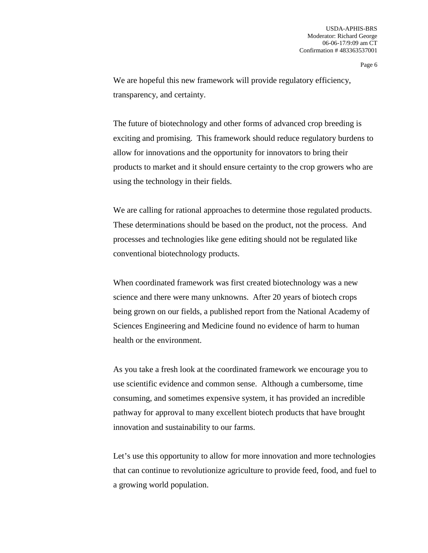We are hopeful this new framework will provide regulatory efficiency, transparency, and certainty.

The future of biotechnology and other forms of advanced crop breeding is exciting and promising. This framework should reduce regulatory burdens to allow for innovations and the opportunity for innovators to bring their products to market and it should ensure certainty to the crop growers who are using the technology in their fields.

We are calling for rational approaches to determine those regulated products. These determinations should be based on the product, not the process. And processes and technologies like gene editing should not be regulated like conventional biotechnology products.

When coordinated framework was first created biotechnology was a new science and there were many unknowns. After 20 years of biotech crops being grown on our fields, a published report from the National Academy of Sciences Engineering and Medicine found no evidence of harm to human health or the environment.

As you take a fresh look at the coordinated framework we encourage you to use scientific evidence and common sense. Although a cumbersome, time consuming, and sometimes expensive system, it has provided an incredible pathway for approval to many excellent biotech products that have brought innovation and sustainability to our farms.

Let's use this opportunity to allow for more innovation and more technologies that can continue to revolutionize agriculture to provide feed, food, and fuel to a growing world population.

Page 6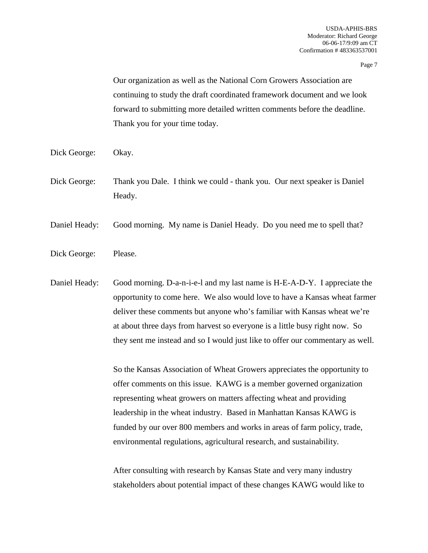Our organization as well as the National Corn Growers Association are continuing to study the draft coordinated framework document and we look forward to submitting more detailed written comments before the deadline. Thank you for your time today.

- Dick George: Okay.
- Dick George: Thank you Dale. I think we could thank you. Our next speaker is Daniel Heady.
- Daniel Heady: Good morning. My name is Daniel Heady. Do you need me to spell that?
- Dick George: Please.

Daniel Heady: Good morning. D-a-n-i-e-l and my last name is H-E-A-D-Y. I appreciate the opportunity to come here. We also would love to have a Kansas wheat farmer deliver these comments but anyone who's familiar with Kansas wheat we're at about three days from harvest so everyone is a little busy right now. So they sent me instead and so I would just like to offer our commentary as well.

> So the Kansas Association of Wheat Growers appreciates the opportunity to offer comments on this issue. KAWG is a member governed organization representing wheat growers on matters affecting wheat and providing leadership in the wheat industry. Based in Manhattan Kansas KAWG is funded by our over 800 members and works in areas of farm policy, trade, environmental regulations, agricultural research, and sustainability.

After consulting with research by Kansas State and very many industry stakeholders about potential impact of these changes KAWG would like to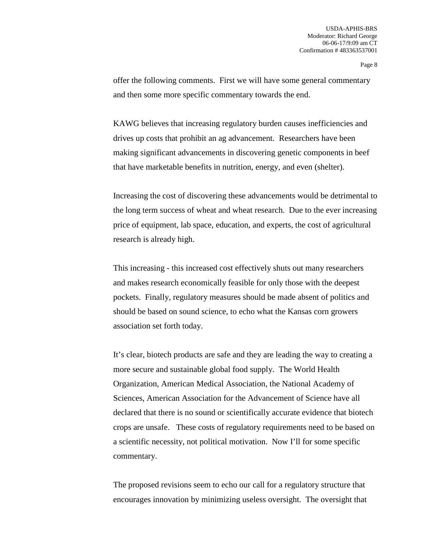offer the following comments. First we will have some general commentary and then some more specific commentary towards the end.

KAWG believes that increasing regulatory burden causes inefficiencies and drives up costs that prohibit an ag advancement. Researchers have been making significant advancements in discovering genetic components in beef that have marketable benefits in nutrition, energy, and even (shelter).

Increasing the cost of discovering these advancements would be detrimental to the long term success of wheat and wheat research. Due to the ever increasing price of equipment, lab space, education, and experts, the cost of agricultural research is already high.

This increasing - this increased cost effectively shuts out many researchers and makes research economically feasible for only those with the deepest pockets. Finally, regulatory measures should be made absent of politics and should be based on sound science, to echo what the Kansas corn growers association set forth today.

It's clear, biotech products are safe and they are leading the way to creating a more secure and sustainable global food supply. The World Health Organization, American Medical Association, the National Academy of Sciences, American Association for the Advancement of Science have all declared that there is no sound or scientifically accurate evidence that biotech crops are unsafe. These costs of regulatory requirements need to be based on a scientific necessity, not political motivation. Now I'll for some specific commentary.

The proposed revisions seem to echo our call for a regulatory structure that encourages innovation by minimizing useless oversight. The oversight that

Page 8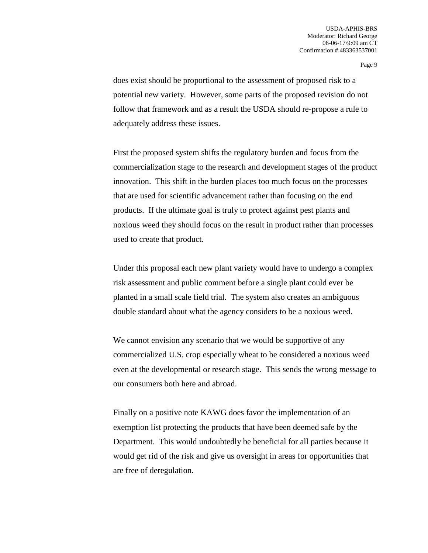does exist should be proportional to the assessment of proposed risk to a potential new variety. However, some parts of the proposed revision do not follow that framework and as a result the USDA should re-propose a rule to adequately address these issues.

First the proposed system shifts the regulatory burden and focus from the commercialization stage to the research and development stages of the product innovation. This shift in the burden places too much focus on the processes that are used for scientific advancement rather than focusing on the end products. If the ultimate goal is truly to protect against pest plants and noxious weed they should focus on the result in product rather than processes used to create that product.

Under this proposal each new plant variety would have to undergo a complex risk assessment and public comment before a single plant could ever be planted in a small scale field trial. The system also creates an ambiguous double standard about what the agency considers to be a noxious weed.

We cannot envision any scenario that we would be supportive of any commercialized U.S. crop especially wheat to be considered a noxious weed even at the developmental or research stage. This sends the wrong message to our consumers both here and abroad.

Finally on a positive note KAWG does favor the implementation of an exemption list protecting the products that have been deemed safe by the Department. This would undoubtedly be beneficial for all parties because it would get rid of the risk and give us oversight in areas for opportunities that are free of deregulation.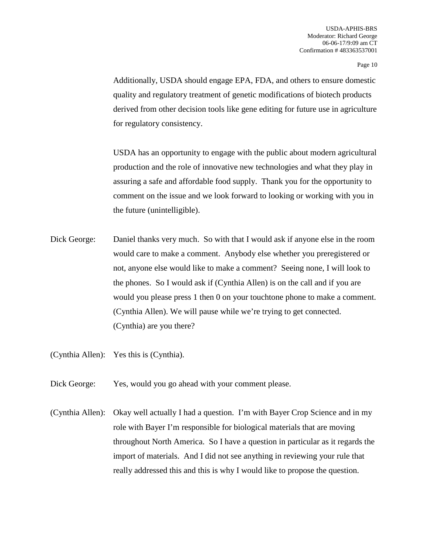Additionally, USDA should engage EPA, FDA, and others to ensure domestic quality and regulatory treatment of genetic modifications of biotech products derived from other decision tools like gene editing for future use in agriculture for regulatory consistency.

USDA has an opportunity to engage with the public about modern agricultural production and the role of innovative new technologies and what they play in assuring a safe and affordable food supply. Thank you for the opportunity to comment on the issue and we look forward to looking or working with you in the future (unintelligible).

Dick George: Daniel thanks very much. So with that I would ask if anyone else in the room would care to make a comment. Anybody else whether you preregistered or not, anyone else would like to make a comment? Seeing none, I will look to the phones. So I would ask if (Cynthia Allen) is on the call and if you are would you please press 1 then 0 on your touchtone phone to make a comment. (Cynthia Allen). We will pause while we're trying to get connected. (Cynthia) are you there?

(Cynthia Allen): Yes this is (Cynthia).

- Dick George: Yes, would you go ahead with your comment please.
- (Cynthia Allen): Okay well actually I had a question. I'm with Bayer Crop Science and in my role with Bayer I'm responsible for biological materials that are moving throughout North America. So I have a question in particular as it regards the import of materials. And I did not see anything in reviewing your rule that really addressed this and this is why I would like to propose the question.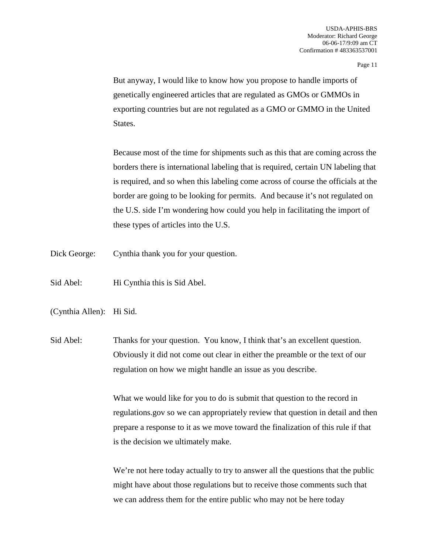But anyway, I would like to know how you propose to handle imports of genetically engineered articles that are regulated as GMOs or GMMOs in exporting countries but are not regulated as a GMO or GMMO in the United States.

Because most of the time for shipments such as this that are coming across the borders there is international labeling that is required, certain UN labeling that is required, and so when this labeling come across of course the officials at the border are going to be looking for permits. And because it's not regulated on the U.S. side I'm wondering how could you help in facilitating the import of these types of articles into the U.S.

- Dick George: Cynthia thank you for your question.
- Sid Abel: Hi Cynthia this is Sid Abel.
- (Cynthia Allen): Hi Sid.
- Sid Abel: Thanks for your question. You know, I think that's an excellent question. Obviously it did not come out clear in either the preamble or the text of our regulation on how we might handle an issue as you describe.

What we would like for you to do is submit that question to the record in regulations.gov so we can appropriately review that question in detail and then prepare a response to it as we move toward the finalization of this rule if that is the decision we ultimately make.

We're not here today actually to try to answer all the questions that the public might have about those regulations but to receive those comments such that we can address them for the entire public who may not be here today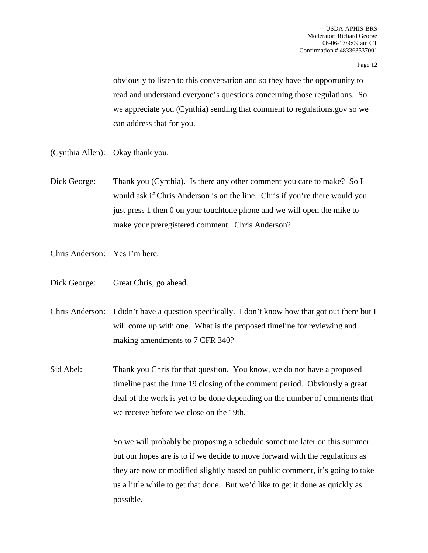obviously to listen to this conversation and so they have the opportunity to read and understand everyone's questions concerning those regulations. So we appreciate you (Cynthia) sending that comment to regulations.gov so we can address that for you.

- (Cynthia Allen): Okay thank you.
- Dick George: Thank you (Cynthia). Is there any other comment you care to make? So I would ask if Chris Anderson is on the line. Chris if you're there would you just press 1 then 0 on your touchtone phone and we will open the mike to make your preregistered comment. Chris Anderson?
- Chris Anderson: Yes I'm here.
- Dick George: Great Chris, go ahead.
- Chris Anderson: I didn't have a question specifically. I don't know how that got out there but I will come up with one. What is the proposed timeline for reviewing and making amendments to 7 CFR 340?
- Sid Abel: Thank you Chris for that question. You know, we do not have a proposed timeline past the June 19 closing of the comment period. Obviously a great deal of the work is yet to be done depending on the number of comments that we receive before we close on the 19th.

So we will probably be proposing a schedule sometime later on this summer but our hopes are is to if we decide to move forward with the regulations as they are now or modified slightly based on public comment, it's going to take us a little while to get that done. But we'd like to get it done as quickly as possible.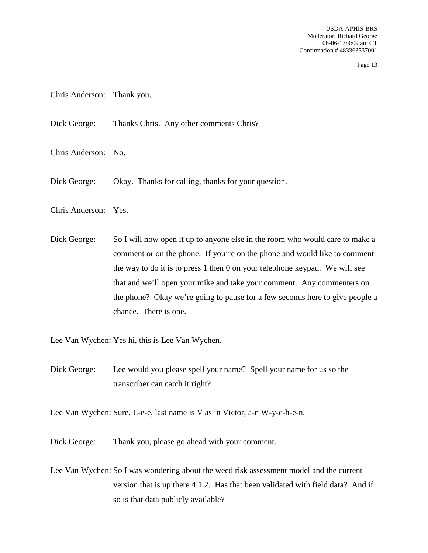- Chris Anderson: Thank you.
- Dick George: Thanks Chris. Any other comments Chris?
- Chris Anderson: No.
- Dick George: Okay. Thanks for calling, thanks for your question.
- Chris Anderson: Yes.
- Dick George: So I will now open it up to anyone else in the room who would care to make a comment or on the phone. If you're on the phone and would like to comment the way to do it is to press 1 then 0 on your telephone keypad. We will see that and we'll open your mike and take your comment. Any commenters on the phone? Okay we're going to pause for a few seconds here to give people a chance. There is one.

Lee Van Wychen: Yes hi, this is Lee Van Wychen.

- Dick George: Lee would you please spell your name? Spell your name for us so the transcriber can catch it right?
- Lee Van Wychen: Sure, L-e-e, last name is V as in Victor, a-n W-y-c-h-e-n.
- Dick George: Thank you, please go ahead with your comment.
- Lee Van Wychen: So I was wondering about the weed risk assessment model and the current version that is up there 4.1.2. Has that been validated with field data? And if so is that data publicly available?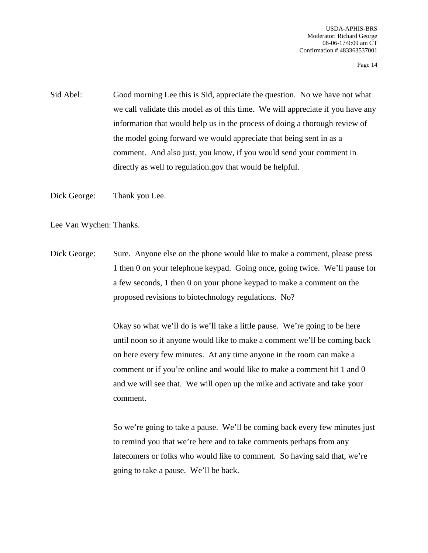Sid Abel: Good morning Lee this is Sid, appreciate the question. No we have not what we call validate this model as of this time. We will appreciate if you have any information that would help us in the process of doing a thorough review of the model going forward we would appreciate that being sent in as a comment. And also just, you know, if you would send your comment in directly as well to regulation.gov that would be helpful.

Dick George: Thank you Lee.

Lee Van Wychen: Thanks.

Dick George: Sure. Anyone else on the phone would like to make a comment, please press 1 then 0 on your telephone keypad. Going once, going twice. We'll pause for a few seconds, 1 then 0 on your phone keypad to make a comment on the proposed revisions to biotechnology regulations. No?

> Okay so what we'll do is we'll take a little pause. We're going to be here until noon so if anyone would like to make a comment we'll be coming back on here every few minutes. At any time anyone in the room can make a comment or if you're online and would like to make a comment hit 1 and 0 and we will see that. We will open up the mike and activate and take your comment.

So we're going to take a pause. We'll be coming back every few minutes just to remind you that we're here and to take comments perhaps from any latecomers or folks who would like to comment. So having said that, we're going to take a pause. We'll be back.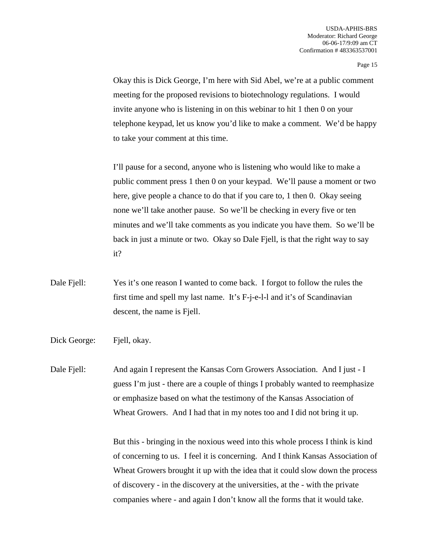Okay this is Dick George, I'm here with Sid Abel, we're at a public comment meeting for the proposed revisions to biotechnology regulations. I would invite anyone who is listening in on this webinar to hit 1 then 0 on your telephone keypad, let us know you'd like to make a comment. We'd be happy to take your comment at this time.

I'll pause for a second, anyone who is listening who would like to make a public comment press 1 then 0 on your keypad. We'll pause a moment or two here, give people a chance to do that if you care to, 1 then 0. Okay seeing none we'll take another pause. So we'll be checking in every five or ten minutes and we'll take comments as you indicate you have them. So we'll be back in just a minute or two. Okay so Dale Fjell, is that the right way to say it?

- Dale Fjell: Yes it's one reason I wanted to come back. I forgot to follow the rules the first time and spell my last name. It's F-j-e-l-l and it's of Scandinavian descent, the name is Fjell.
- Dick George: Fiell, okay.

Dale Fjell: And again I represent the Kansas Corn Growers Association. And I just - I guess I'm just - there are a couple of things I probably wanted to reemphasize or emphasize based on what the testimony of the Kansas Association of Wheat Growers. And I had that in my notes too and I did not bring it up.

> But this - bringing in the noxious weed into this whole process I think is kind of concerning to us. I feel it is concerning. And I think Kansas Association of Wheat Growers brought it up with the idea that it could slow down the process of discovery - in the discovery at the universities, at the - with the private companies where - and again I don't know all the forms that it would take.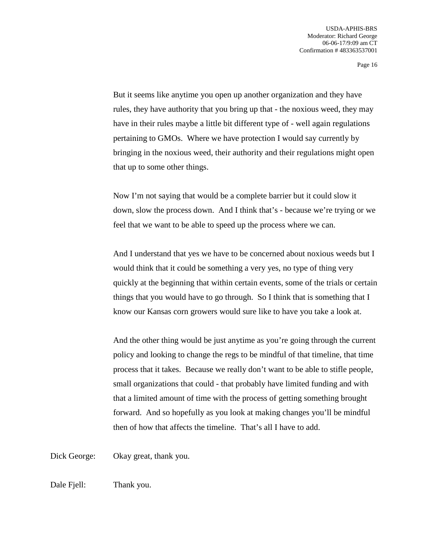But it seems like anytime you open up another organization and they have rules, they have authority that you bring up that - the noxious weed, they may have in their rules maybe a little bit different type of - well again regulations pertaining to GMOs. Where we have protection I would say currently by bringing in the noxious weed, their authority and their regulations might open that up to some other things.

Now I'm not saying that would be a complete barrier but it could slow it down, slow the process down. And I think that's - because we're trying or we feel that we want to be able to speed up the process where we can.

And I understand that yes we have to be concerned about noxious weeds but I would think that it could be something a very yes, no type of thing very quickly at the beginning that within certain events, some of the trials or certain things that you would have to go through. So I think that is something that I know our Kansas corn growers would sure like to have you take a look at.

And the other thing would be just anytime as you're going through the current policy and looking to change the regs to be mindful of that timeline, that time process that it takes. Because we really don't want to be able to stifle people, small organizations that could - that probably have limited funding and with that a limited amount of time with the process of getting something brought forward. And so hopefully as you look at making changes you'll be mindful then of how that affects the timeline. That's all I have to add.

Dick George: Okay great, thank you.

Dale Fiell: Thank you.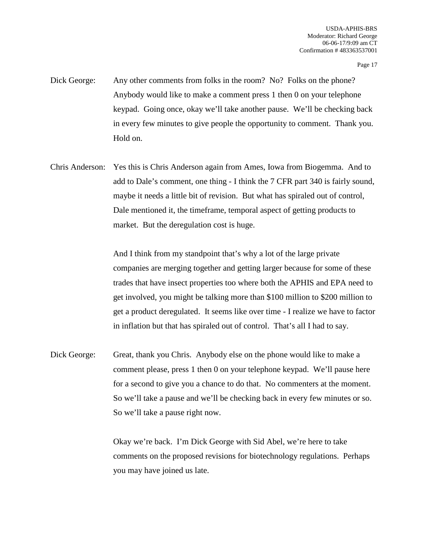- Dick George: Any other comments from folks in the room? No? Folks on the phone? Anybody would like to make a comment press 1 then 0 on your telephone keypad. Going once, okay we'll take another pause. We'll be checking back in every few minutes to give people the opportunity to comment. Thank you. Hold on.
- Chris Anderson: Yes this is Chris Anderson again from Ames, Iowa from Biogemma. And to add to Dale's comment, one thing - I think the 7 CFR part 340 is fairly sound, maybe it needs a little bit of revision. But what has spiraled out of control, Dale mentioned it, the timeframe, temporal aspect of getting products to market. But the deregulation cost is huge.

And I think from my standpoint that's why a lot of the large private companies are merging together and getting larger because for some of these trades that have insect properties too where both the APHIS and EPA need to get involved, you might be talking more than \$100 million to \$200 million to get a product deregulated. It seems like over time - I realize we have to factor in inflation but that has spiraled out of control. That's all I had to say.

Dick George: Great, thank you Chris. Anybody else on the phone would like to make a comment please, press 1 then 0 on your telephone keypad. We'll pause here for a second to give you a chance to do that. No commenters at the moment. So we'll take a pause and we'll be checking back in every few minutes or so. So we'll take a pause right now.

> Okay we're back. I'm Dick George with Sid Abel, we're here to take comments on the proposed revisions for biotechnology regulations. Perhaps you may have joined us late.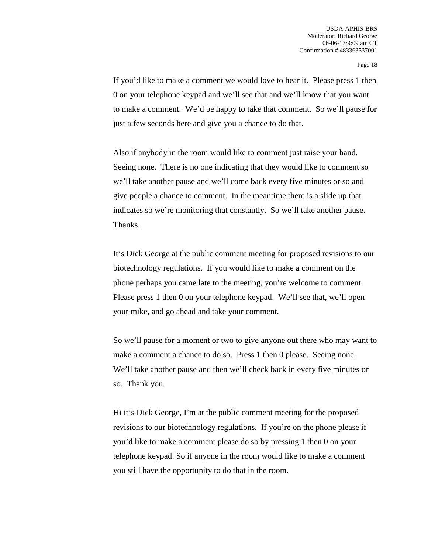If you'd like to make a comment we would love to hear it. Please press 1 then 0 on your telephone keypad and we'll see that and we'll know that you want to make a comment. We'd be happy to take that comment. So we'll pause for just a few seconds here and give you a chance to do that.

Also if anybody in the room would like to comment just raise your hand. Seeing none. There is no one indicating that they would like to comment so we'll take another pause and we'll come back every five minutes or so and give people a chance to comment. In the meantime there is a slide up that indicates so we're monitoring that constantly. So we'll take another pause. Thanks.

It's Dick George at the public comment meeting for proposed revisions to our biotechnology regulations. If you would like to make a comment on the phone perhaps you came late to the meeting, you're welcome to comment. Please press 1 then 0 on your telephone keypad. We'll see that, we'll open your mike, and go ahead and take your comment.

So we'll pause for a moment or two to give anyone out there who may want to make a comment a chance to do so. Press 1 then 0 please. Seeing none. We'll take another pause and then we'll check back in every five minutes or so. Thank you.

Hi it's Dick George, I'm at the public comment meeting for the proposed revisions to our biotechnology regulations. If you're on the phone please if you'd like to make a comment please do so by pressing 1 then 0 on your telephone keypad. So if anyone in the room would like to make a comment you still have the opportunity to do that in the room.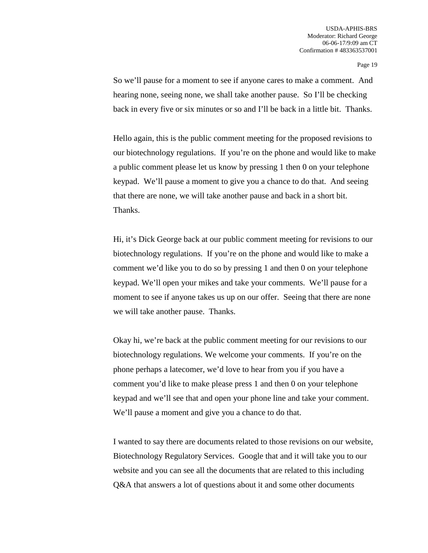So we'll pause for a moment to see if anyone cares to make a comment. And hearing none, seeing none, we shall take another pause. So I'll be checking back in every five or six minutes or so and I'll be back in a little bit. Thanks.

Hello again, this is the public comment meeting for the proposed revisions to our biotechnology regulations. If you're on the phone and would like to make a public comment please let us know by pressing 1 then 0 on your telephone keypad. We'll pause a moment to give you a chance to do that. And seeing that there are none, we will take another pause and back in a short bit. Thanks.

Hi, it's Dick George back at our public comment meeting for revisions to our biotechnology regulations. If you're on the phone and would like to make a comment we'd like you to do so by pressing 1 and then 0 on your telephone keypad. We'll open your mikes and take your comments. We'll pause for a moment to see if anyone takes us up on our offer. Seeing that there are none we will take another pause. Thanks.

Okay hi, we're back at the public comment meeting for our revisions to our biotechnology regulations. We welcome your comments. If you're on the phone perhaps a latecomer, we'd love to hear from you if you have a comment you'd like to make please press 1 and then 0 on your telephone keypad and we'll see that and open your phone line and take your comment. We'll pause a moment and give you a chance to do that.

I wanted to say there are documents related to those revisions on our website, Biotechnology Regulatory Services. Google that and it will take you to our website and you can see all the documents that are related to this including Q&A that answers a lot of questions about it and some other documents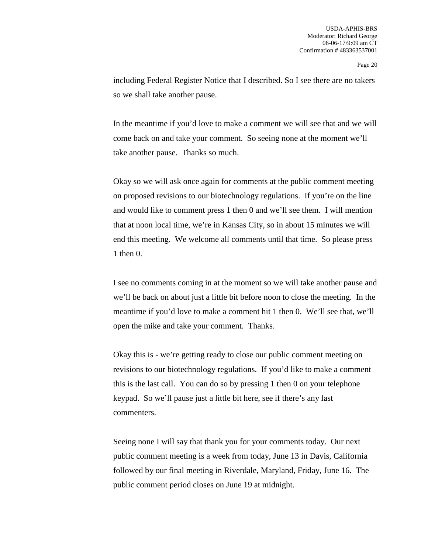including Federal Register Notice that I described. So I see there are no takers so we shall take another pause.

In the meantime if you'd love to make a comment we will see that and we will come back on and take your comment. So seeing none at the moment we'll take another pause. Thanks so much.

Okay so we will ask once again for comments at the public comment meeting on proposed revisions to our biotechnology regulations. If you're on the line and would like to comment press 1 then 0 and we'll see them. I will mention that at noon local time, we're in Kansas City, so in about 15 minutes we will end this meeting. We welcome all comments until that time. So please press 1 then 0.

I see no comments coming in at the moment so we will take another pause and we'll be back on about just a little bit before noon to close the meeting. In the meantime if you'd love to make a comment hit 1 then 0. We'll see that, we'll open the mike and take your comment. Thanks.

Okay this is - we're getting ready to close our public comment meeting on revisions to our biotechnology regulations. If you'd like to make a comment this is the last call. You can do so by pressing 1 then 0 on your telephone keypad. So we'll pause just a little bit here, see if there's any last commenters.

Seeing none I will say that thank you for your comments today. Our next public comment meeting is a week from today, June 13 in Davis, California followed by our final meeting in Riverdale, Maryland, Friday, June 16. The public comment period closes on June 19 at midnight.